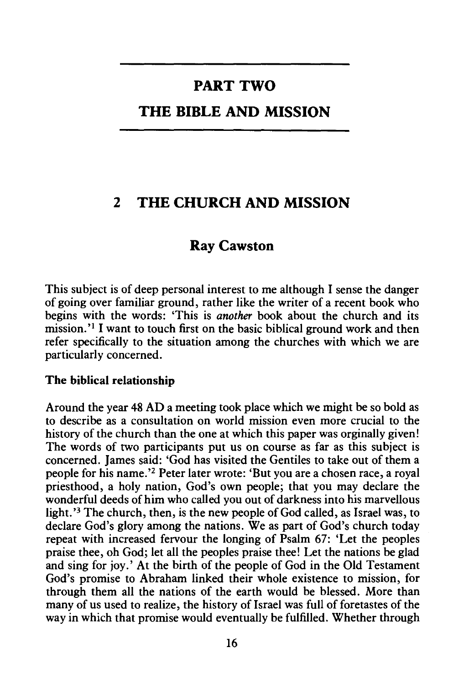# **PART TWO**

## **THE BIBLE AND MISSION**

# **2 THE CHURCH AND MISSION**

### **Ray Cawston**

This subject is of deep personal interest to me although I sense the danger of going over familiar ground, rather like the writer of a recent book who begins with the words: 'This is *another* book about the church and its mission.<sup>'1</sup> I want to touch first on the basic biblical ground work and then refer specifically to the situation among the churches with which we are particularly concerned.

#### **The biblical relationship**

Around the year 48 AD a meeting took place which we might be so bold as to describe as a consultation on world mission even more crucial to the history of the church than the one at which this paper was orginally given! The words of two participants put us on course as far as this subject is concerned. James said: 'God has visited the Gentiles to take out of them a people for his name.'2 Peter later wrote: 'But you are a chosen race, a royal priesthood, a holy nation, God's own people; that you may declare the wonderful deeds of him who called you out of darkness into his marvellous light.'<sup>3</sup> The church, then, is the new people of God called, as Israel was, to declare God's glory among the nations. We as part of God's church today repeat with increased fervour the longing of Psalm 67: 'Let the peoples praise thee, oh God; let all the peoples praise thee! Let the nations be glad and sing for joy.' At the birth of the people of God in the Old Testament God's promise to Abraham linked their whole existence to mission, for through them all the nations of the earth would be blessed. More than many of us used to realize, the history of Israel was full of foretastes of the way in which that promise would eventually be fulfilled. Whether through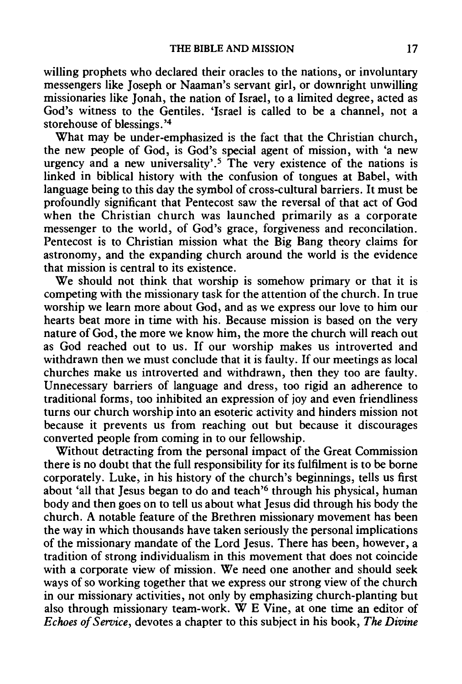willing prophets who declared their oracles to the nations, or involuntary messengers like Joseph or Naaman's servant girl, or downright unwilling missionaries like Jonah, the nation of Israel, to a limited degree, acted as God's witness to the Gentiles. 'Israel is called to be a channel, not a storehouse of blessings. ' 4

What may be under-emphasized is the fact that the Christian church, the new people of God, is God's special agent of mission, with 'a new urgency and a new universality'.<sup>5</sup> The very existence of the nations is linked in biblical history with the confusion of tongues at Babel, with language being to this day the symbol of cross-cultural barriers. It must be profoundly significant that Pentecost saw the reversal of that act of God when the Christian church was launched primarily as a corporate messenger to the world, of God's grace, forgiveness and reconcilation. Pentecost is to Christian mission what the Big Bang theory claims for astronomy, and the expanding church around the world is the evidence that mission is central to its existence.

We should not think that worship is somehow primary or that it is competing with the missionary task for the attention of the church. In true worship we learn more about God, and as we express our love to him our hearts beat more in time with his. Because mission is based on the very nature of God, the more we know him, the more the church will reach out as God reached out to us. If our worship makes us introverted and withdrawn then we must conclude that it is faulty. If our meetings as local churches make us introverted and withdrawn, then they too are faulty. Unnecessary barriers of language and dress, too rigid an adherence to traditional forms, too inhibited an expression of joy and even friendliness turns our church worship into an esoteric activity and hinders mission not because it prevents us from reaching out but because it discourages converted people from coming in to our fellowship.

Without detracting from the personal impact of the Great Commission there is no doubt that the full responsibility for its fulfilment is to be borne corporately. Luke, in his history of the church's beginnings, tells us first about 'all that Jesus began to do and teach'6 through his physical, human body and then goes on to tell us about what Jesus did through his body the church. A notable feature of the Brethren missionary movement has been the way in which thousands have taken seriously the personal implications of the missionary mandate of the Lord Jesus. There has been, however, a tradition of strong individualism in this movement that does not coincide with a corporate view of mission. We need one another and should seek ways of so working together that we express our strong view of the church in our missionary activities, not only by emphasizing church-planting but also through missionary team-work. W E Vine, at one time an editor of *Echoes of Service,* devotes a chapter to this subject in his book, *The Divine*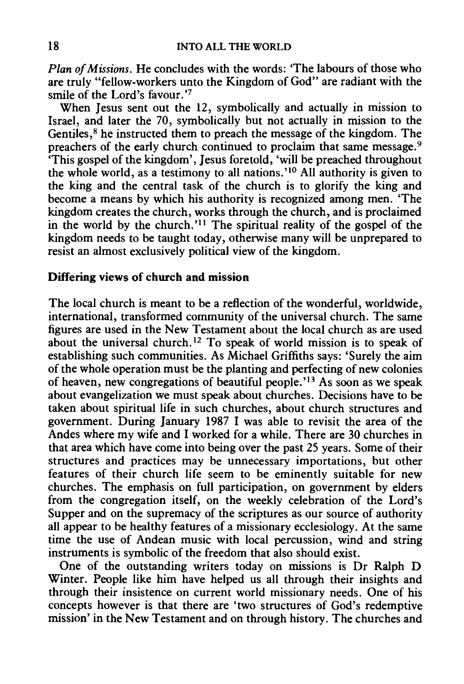*Plan of Missions.* He concludes with the words: 'The labours of those who are truly "fellow-workers unto the Kingdom of God" are radiant with the smile of the Lord's favour.'7

When Jesus sent out the 12, symbolically and actually in mission to Israel, and later the 70, symbolically but not actually in mission to the Gentiles,<sup>8</sup> he instructed them to preach the message of the kingdom. The preachers of the early church continued to proclaim that same message.<sup>9</sup> 'This gospel of the kingdom', Jesus foretold, 'will be preached throughout the whole world, as a testimony to all nations.'<sup>10</sup> All authority is given to the king and the central task of the church is to glorify the king and become a means by which his authority is recognized among men. 'The kingdom creates the church, works through the church, and is proclaimed in the world by the church.'<sup>11</sup> The spiritual reality of the gospel of the kingdom needs to be taught today, otherwise many will be unprepared to resist an almost exclusively political view of the kingdom.

#### Differing views of church and mission

The local church is meant to be a reflection of the wonderful, worldwide, international, transformed community of the universal church. The same figures are used in the New Testament about the local church as are used about the universal church. 12 To speak of world mission is to speak of establishing such communities. As Michael Griffiths says: 'Surely the aim of the whole operation must be the planting and perfecting of new colonies of heaven, new congregations of beautiful people.'<sup>13</sup> As soon as we speak about evangelization we must speak about churches. Decisions have to be taken about spiritual life in such churches, about church structures and government. During January 1987 I was able to revisit the area of the Andes where my wife and I worked for a while. There are 30 churches in that area which have come into being over the past 25 years. Some of their structures and practices may be unnecessary importations, but other features of their church life seem to be eminently suitable for new churches. The emphasis on full participation, on government by elders from the congregation itself, on the weekly celebration of the Lord's Supper and on the supremacy of the scriptures as our source of authority all appear to be healthy features of a missionary ecclesiology. At the same time the use of Andean music with local percussion, wind and string instruments is symbolic of the freedom that also should exist.

One of the outstanding writers today on missions is Dr Ralph D Winter. People like him have helped us all through their insights and through their insistence on current world missionary needs. One of his concepts however is that there are 'two structures of God's redemptive mission' in the New Testament and on through history. The churches and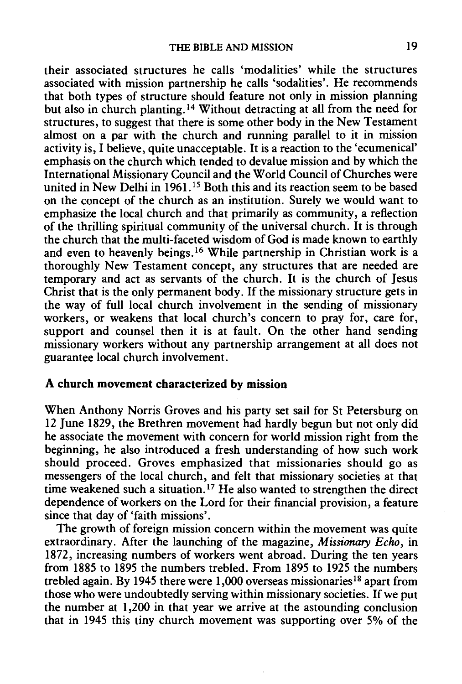their associated structures he calls 'modalities' while the structures associated with mission partnership he calls 'sodalities'. He recommends that both types of structure should feature not only in mission planning but also in church planting. 14 Without detracting at all from the need for structures, to suggest that there is some other body in the New Testament almost on a par with the church and running parallel to it in mission activity is, I believe, quite unacceptable. It is a reaction to the 'ecumenical' emphasis on the church which tended to devalue mission and by which the International Missionary Council and the World Council of Churches were united in New Delhi in 1961.<sup>15</sup> Both this and its reaction seem to be based on the concept of the church as an institution. Surely we would want to emphasize the local church and that primarily as community, a reflection of the thrilling spiritual community of the universal church. It is through the church that the multi-faceted wisdom of God is made known to earthly and even to heavenly beings. 16 While partnership in Christian work is a thoroughly New Testament concept, any structures that are needed are temporary and act as servants of the church. It is the church of Jesus Christ that is the only permanent body. If the missionary structure gets in the way of full local church involvement in the sending of missionary workers, or weakens that local church's concern to pray for, care for, support and counsel then it is at fault. On the other hand sending missionary workers without any partnership arrangement at all does not guarantee local church involvement.

#### **A church movement characterized by mission**

When Anthony Norris Groves and his party set sail for St Petersburg on 12 June 1829, the Brethren movement had hardly begun but not only did he associate the movement with concern for world mission right from the beginning, he also introduced a fresh understanding of how such work should proceed. Groves emphasized that missionaries should go as messengers of the local church, and felt that missionary societies at that time weakened such a situation.<sup>17</sup> He also wanted to strengthen the direct dependence of workers on the Lord for their financial provision, a feature since that day of 'faith missions'.

The growth of foreign mission concern within the movement was quite extraordinary. After the launching of the magazine, *Missionary Echo,* in 1872, increasing numbers of workers went abroad. During the ten years from 1885 to 1895 the numbers trebled. From 1895 to 1925 the numbers trebled again. By 1945 there were 1,000 overseas missionaries 18 apart from those who were undoubtedly serving within missionary societies. If we put the number at I ,200 in that year we arrive at the astounding conclusion that in 1945 this tiny church movement was supporting over 5% of the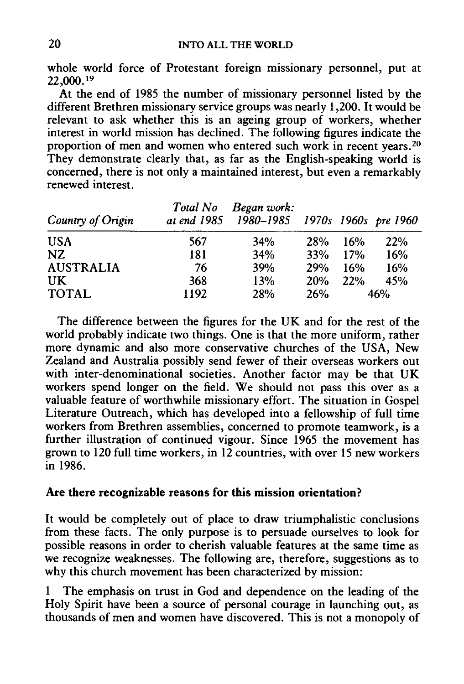whole world force of Protestant foreign missionary personnel, put at 22,000. <sup>19</sup>

At the end of 1985 the number of missionary personnel listed by the different Brethren missionary service groups was nearly 1,200. It would be relevant to ask whether this is an ageing group of workers, whether interest in world mission has declined. The following figures indicate the proportion of men and women who entered such work in recent years.<sup>20</sup> They demonstrate clearly that, as far as the English-speaking world is concerned, there is not only a maintained interest, but even a remarkably renewed interest.

| Country of Origin | Total No | Began work:<br>at end 1985 1980-1985 1970s 1960s pre 1960 |     |     |     |
|-------------------|----------|-----------------------------------------------------------|-----|-----|-----|
| <b>USA</b>        | 567      | 34%                                                       | 28% | 16% | 22% |
| NZ.               | 181      | 34%                                                       | 33% | 17% | 16% |
| <b>AUSTRALIA</b>  | 76       | <b>39%</b>                                                | 29% | 16% | 16% |
| UK                | 368      | 13%                                                       | 20% | 22% | 45% |
| <b>TOTAL</b>      | 1192     | 28%                                                       | 26% |     | 46% |

The difference between the figures for the UK and for the rest of the world probably indicate two things. One is that the more uniform, rather more dynamic and also more conservative churches of the USA, New Zealand and Australia possibly send fewer of their overseas workers out with inter-denominational societies. Another factor may be that UK workers spend longer on the field. We should not pass this over as a valuable feature of worthwhile missionary effort. The situation in Gospel Literature Outreach, which has developed into a fellowship of full time workers from Brethren assemblies, concerned to promote teamwork, is a further illustration of continued vigour. Since 1965 the movement has grown to 120 full time workers, in  $12$  countries, with over 15 new workers in 1986.

### Are there recognizable reasons for this mission orientation?

It would be completely out of place to draw triumphalistic conclusions from these facts. The only purpose is to persuade ourselves to look for possible reasons in order to cherish valuable features at the same time as we recognize weaknesses. The following are, therefore, suggestions as to why this church movement has been characterized by mission:

1 The emphasis on trust in God and dependence on the leading of the Holy Spirit have been a source of personal courage in launching out, as thousands of men and women have discovered. This is not a monopoly of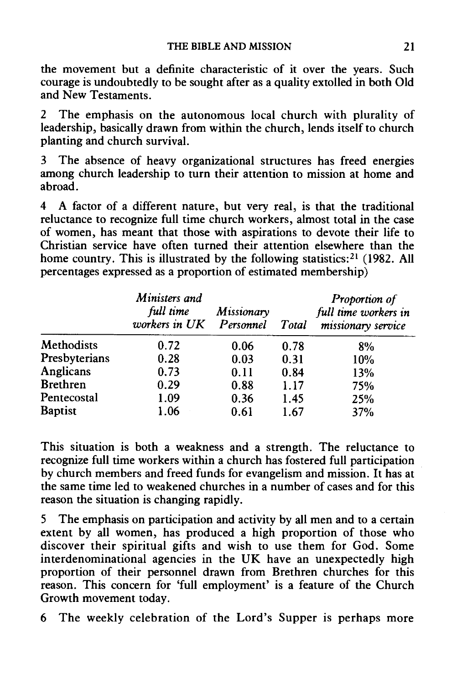the movement but a definite characteristic of it over the years. Such courage is undoubtedly to be sought after as a quality extolled in both Old and New Testaments.

2 The emphasis on the autonomous local church with plurality of leadership, basically drawn from within the church, lends itself to church planting and church survival.

3 The absence of heavy organizational structures has freed energies among church leadership to turn their attention to mission at home and abroad.

4 A factor of a different nature, but very real, is that the traditional reluctance to recognize full time church workers, almost total in the case of women, has meant that those with aspirations to devote their life to Christian service have often turned their attention elsewhere than the home country. This is illustrated by the following statistics:<sup>21</sup> (1982. All percentages expressed as a proportion of estimated membership)

|                 | Ministers and<br>full time<br>workers in UK Personnel | Missionary | Total | <b>Proportion of</b><br>full time workers in<br>missionary service |
|-----------------|-------------------------------------------------------|------------|-------|--------------------------------------------------------------------|
| Methodists      | 0.72                                                  | 0.06       | 0.78  | 8%                                                                 |
| Presbyterians   | 0.28                                                  | 0.03       | 0.31  | 10%                                                                |
| Anglicans       | 0.73                                                  | 0.11       | 0.84  | 13%                                                                |
| <b>Brethren</b> | 0.29                                                  | 0.88       | 1.17  | 75%                                                                |
| Pentecostal     | 1.09                                                  | 0.36       | 1.45  | 25%                                                                |
| <b>Baptist</b>  | 1.06                                                  | 0.61       | 1.67  | 37%                                                                |

This situation is both a weakness and a strength. The reluctance to recognize full time workers within a church has fostered full participation by church members and freed funds for evangelism and mission. It has at the same time led to weakened churches in a number of cases and for this reason the situation is changing rapidly.

5 The emphasis on participation and activity by all men and to a certain extent by all women, has produced a high proportion of those who discover their spiritual gifts and wish to use them for God. Some interdenominational agencies in the UK have an unexpectedly high proportion of their personnel drawn from Brethren churches for this reason. This concern for 'full employment' is a feature of the Church Growth movement today.

6 The weekly celebration of the Lord's Supper is perhaps more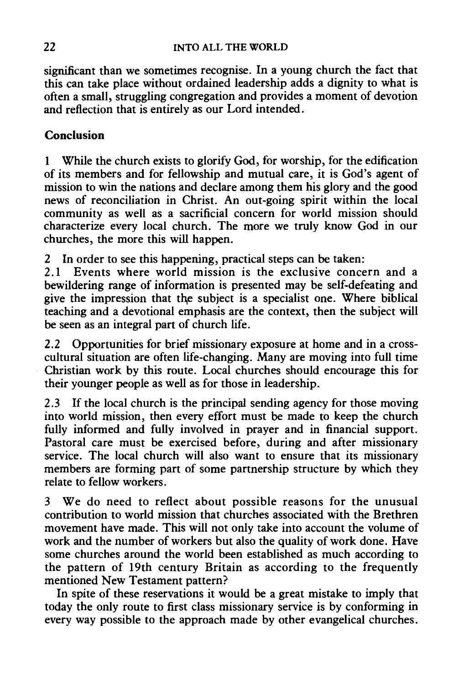significant than we sometimes recognise. In a young church the fact that this can take place without ordained leadership adds a dignity to what is often a small, struggling congregation and provides a moment of devotion and reflection that is entirely as our Lord intended.

### **Conclusion**

1 While the church exists to glorify God, for worship, for the edification of its members and for fellowship and mutual care, it is God's agent of mission to win the nations and declare among them his glory and the good news of reconciliation in Christ. An out-going spirit within the local community as well as a sacrificial concern for world mission should characterize every local church. The more we truly know God in our churches, the more this will happen.

*2* In order to see this happening, practical steps can be taken:

*2* .I Events where world mission is the exclusive concern and a bewildering range of information is presented may be self-defeating and give the impression that the subject is a specialist one. Where biblical teaching and a devotional emphasis are the context, then the subject will be seen as an integral part of church life.

*2.2* Opportunities for brief missionary exposure at home and in a crosscultural situation are often life-changing. Many are moving into full time Christian work by this route. Local churches should encourage this for their younger people as well as for those in leadership.

*2.3* If the local church is the principal sending agency for those moving into world mission, then every effort must be made to keep the church fully informed and fully involved in prayer and in financial support. Pastoral care must be exercised before, during and after missionary service. The local church will also want to ensure that its missionary members are forming part of some partnership structure by which they relate to fellow workers.

3 We do need to reflect about possible reasons for the unusual contribution to world mission that churches associated with the Brethren movement have made. This will not only take into account the volume of work and the number of workers but also the quality of work done. Have some churches around the world been established as much according to the pattern of 19th century Britain as according to the frequently mentioned New Testament pattern?

In spite of these reservations it would be a great mistake to imply that today the only route to first class missionary service is by conforming in every way possible to the approach made by other evangelical churches.